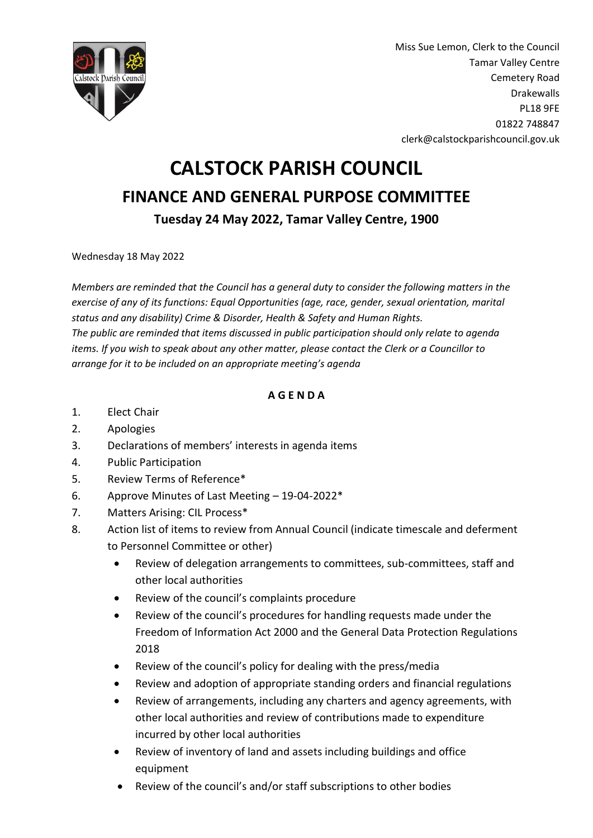

Miss Sue Lemon, Clerk to the Council Tamar Valley Centre Cemetery Road Drakewalls PL18 9FE 01822 748847 clerk@calstockparishcouncil.gov.uk

## **CALSTOCK PARISH COUNCIL FINANCE AND GENERAL PURPOSE COMMITTEE Tuesday 24 May 2022, Tamar Valley Centre, 1900**

Wednesday 18 May 2022

*Members are reminded that the Council has a general duty to consider the following matters in the exercise of any of its functions: Equal Opportunities (age, race, gender, sexual orientation, marital status and any disability) Crime & Disorder, Health & Safety and Human Rights. The public are reminded that items discussed in public participation should only relate to agenda items. If you wish to speak about any other matter, please contact the Clerk or a Councillor to arrange for it to be included on an appropriate meeting's agenda*

## **A G E N D A**

- 1. Elect Chair
- 2. Apologies
- 3. Declarations of members' interests in agenda items
- 4. Public Participation
- 5. Review Terms of Reference\*
- 6. Approve Minutes of Last Meeting 19-04-2022\*
- 7. Matters Arising: CIL Process\*
- 8. Action list of items to review from Annual Council (indicate timescale and deferment to Personnel Committee or other)
	- Review of delegation arrangements to committees, sub-committees, staff and other local authorities
	- Review of the council's complaints procedure
	- Review of the council's procedures for handling requests made under the Freedom of Information Act 2000 and the General Data Protection Regulations 2018
	- Review of the council's policy for dealing with the press/media
	- Review and adoption of appropriate standing orders and financial regulations
	- Review of arrangements, including any charters and agency agreements, with other local authorities and review of contributions made to expenditure incurred by other local authorities
	- Review of inventory of land and assets including buildings and office equipment
	- Review of the council's and/or staff subscriptions to other bodies